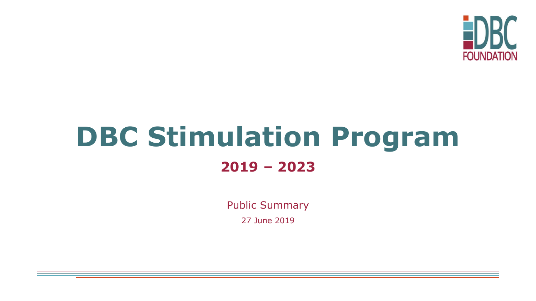

# **DBC Stimulation Program 2019 – 2023**

Public Summary

27 June 2019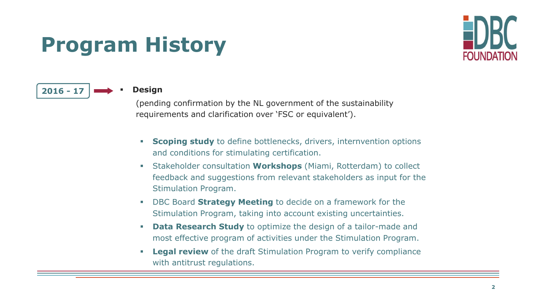## **Program History**





(pending confirmation by the NL government of the sustainability requirements and clarification over 'FSC or equivalent').

- **Scoping study** to define bottlenecks, drivers, internvention options and conditions for stimulating certification.
- Stakeholder consultation **Workshops** (Miami, Rotterdam) to collect feedback and suggestions from relevant stakeholders as input for the Stimulation Program.
- DBC Board **Strategy Meeting** to decide on a framework for the Stimulation Program, taking into account existing uncertainties.
- **Data Research Study** to optimize the design of a tailor-made and most effective program of activities under the Stimulation Program.
- **Legal review** of the draft Stimulation Program to verify compliance with antitrust regulations.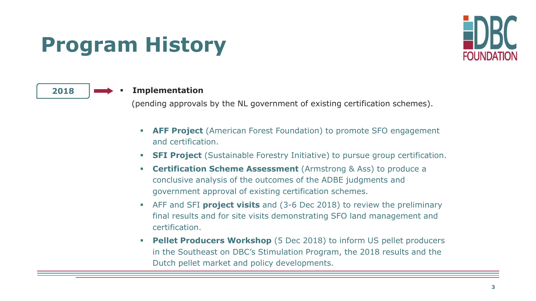## **Program History**



### 2018 **EXECUTE:** Implementation

(pending approvals by the NL government of existing certification schemes).

- **EXTEMPROJECT** (American Forest Foundation) to promote SFO engagement and certification.
- **SFI Project** (Sustainable Forestry Initiative) to pursue group certification.
- **Certification Scheme Assessment** (Armstrong & Ass) to produce a conclusive analysis of the outcomes of the ADBE judgments and government approval of existing certification schemes.
- AFF and SFI **project visits** and (3-6 Dec 2018) to review the preliminary final results and for site visits demonstrating SFO land management and certification.
- **Pellet Producers Workshop** (5 Dec 2018) to inform US pellet producers in the Southeast on DBC's Stimulation Program, the 2018 results and the Dutch pellet market and policy developments.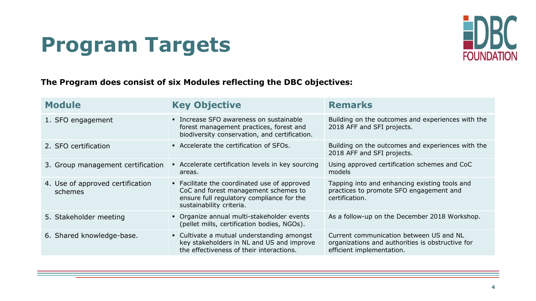### **Program Targets**



**The Program does consist of six Modules reflecting the DBC objectives:**

| <b>Module</b>                               | <b>Key Objective</b>                                                                                                                                          | <b>Remarks</b>                                                                                                           |  |
|---------------------------------------------|---------------------------------------------------------------------------------------------------------------------------------------------------------------|--------------------------------------------------------------------------------------------------------------------------|--|
| 1. SFO engagement                           | • Increase SFO awareness on sustainable<br>forest management practices, forest and<br>biodiversity conservation, and certification.                           | Building on the outcomes and experiences with the<br>2018 AFF and SFI projects.                                          |  |
| 2. SFO certification                        | • Accelerate the certification of SFOs.                                                                                                                       | Building on the outcomes and experiences with the<br>2018 AFF and SFI projects.                                          |  |
| 3. Group management certification           | • Accelerate certification levels in key sourcing<br>areas.                                                                                                   | Using approved certification schemes and CoC<br>models                                                                   |  |
| 4. Use of approved certification<br>schemes | • Facilitate the coordinated use of approved<br>CoC and forest management schemes to<br>ensure full regulatory compliance for the<br>sustainability criteria. | Tapping into and enhancing existing tools and<br>practices to promote SFO engagement and<br>certification.               |  |
| 5. Stakeholder meeting                      | • Organize annual multi-stakeholder events<br>(pellet mills, certification bodies, NGOs).                                                                     | As a follow-up on the December 2018 Workshop.                                                                            |  |
| 6. Shared knowledge-base.                   | • Cultivate a mutual understanding amongst<br>key stakeholders in NL and US and improve<br>the effectiveness of their interactions.                           | Current communication between US and NL<br>organizations and authorities is obstructive for<br>efficient implementation. |  |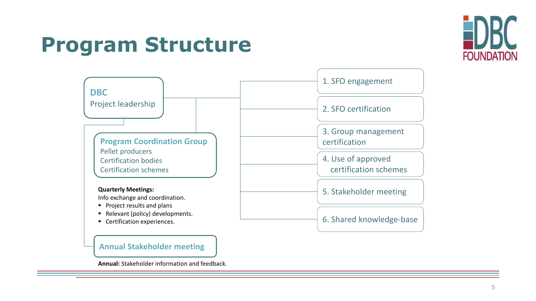### **Program Structure**





### **Annual Stakeholder meeting**

**Annual:** Stakeholder information and feedback.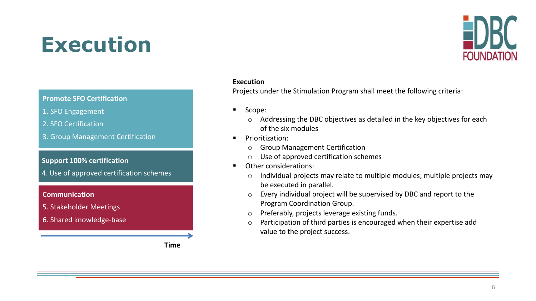### **Execution**



#### **Execution**

Projects under the Stimulation Program shall meet the following criteria:

- Scope:
	- o Addressing the DBC objectives as detailed in the key objectives for each of the six modules
- Prioritization:
	- o Group Management Certification
	- o Use of approved certification schemes
- Other considerations:
	- o Individual projects may relate to multiple modules; multiple projects may be executed in parallel.
	- o Every individual project will be supervised by DBC and report to the Program Coordination Group.
	- o Preferably, projects leverage existing funds.
	- o Participation of third parties is encouraged when their expertise add value to the project success.

#### **Promote SFO Certification**

- 1. SFO Engagement
- 2. SFO Certification
- 3. Group Management Certification

#### **Support 100% certification**

4. Use of approved certification schemes

#### **Communication**

- 5. Stakeholder Meetings
- 6. Shared knowledge-base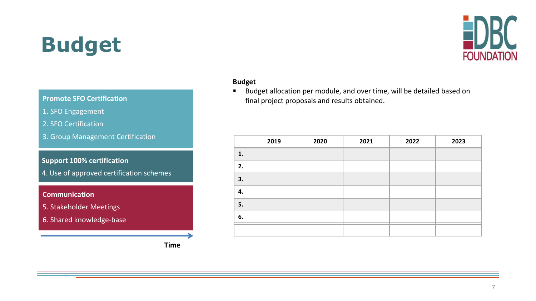# **Budget**



### **Budget**

■ Budget allocation per module, and over time, will be detailed based on final project proposals and results obtained.

|    | 2019 | 2020 | 2021 | 2022 | 2023 |
|----|------|------|------|------|------|
| 1. |      |      |      |      |      |
| 2. |      |      |      |      |      |
| 3. |      |      |      |      |      |
| 4. |      |      |      |      |      |
| 5. |      |      |      |      |      |
| 6. |      |      |      |      |      |
|    |      |      |      |      |      |

#### **Promote SFO Certification**

- 1. SFO Engagement
- 2. SFO Certification
- 3. Group Management Certification

#### **Support 100% certification**

4. Use of approved certification schemes

### **Communication**

- 5. Stakeholder Meetings
- 6. Shared knowledge-base

**Time**